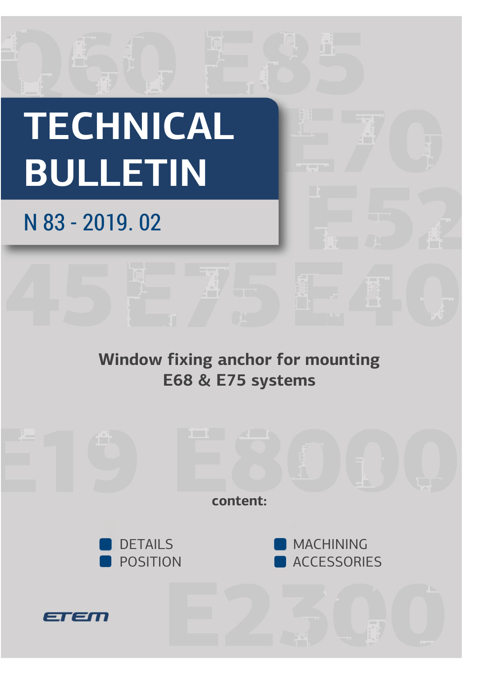# **TECHNICAL BULLETIN**

# N 83 - 2019. 02

## **Window fixing anchor for mounting E68 & E75 systems**

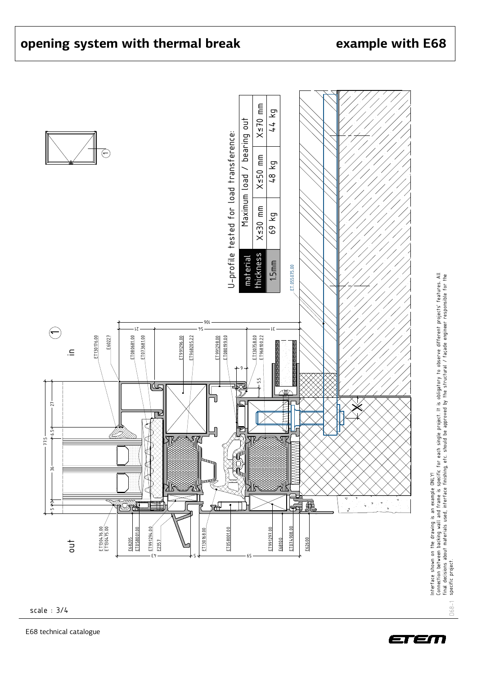ທ

 $\begin{array}{c|c|c|c|c|c} \hline \text{3} & \text{4} & \text{5} & \text{6} & \text{6} & \text{6} \ \hline \text{4} & \text{5} & \text{6} & \text{6} & \text{6} & \text{6} \ \hline \text{5} & \text{6} & \text{6} & \text{6} & \text{6} & \text{6} \ \hline \text{6} & \text{6} & \text{6} & \text{6} & \text{6} & \text{6} & \text{6} \ \hline \text{7} & \text{8} & \text{8} & \text{8} & \text{8} & \text{8} & \text$ 



9 + /

E2357



 $\cancel{\times}$ 

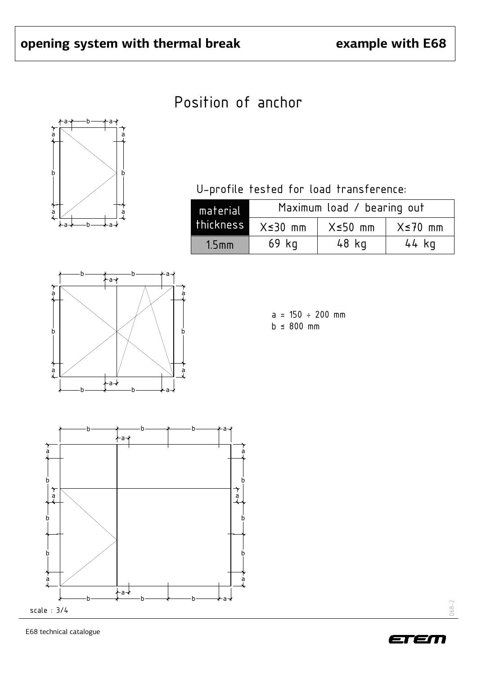### Position of anchor



U-profile tested for load transference:

| material | Maximum load / bearing out |                |                |  |  |
|----------|----------------------------|----------------|----------------|--|--|
|          | thickness X≤30 mm          | $X \leq 50$ mm | $X \leq 70$ mm |  |  |
| $1.5$ mm | $69$ $kg$                  | 48 kg          | 44 kg          |  |  |







E68 technical catalogue



D68-2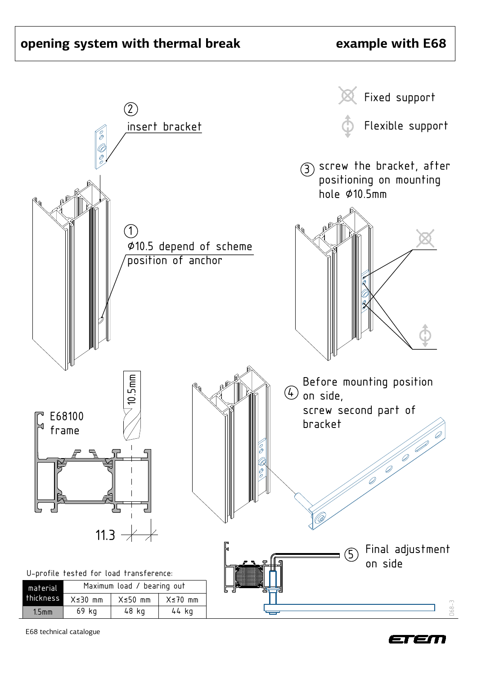#### **opening system with thermal break**

#### **example with E68**



E68 technical catalogue